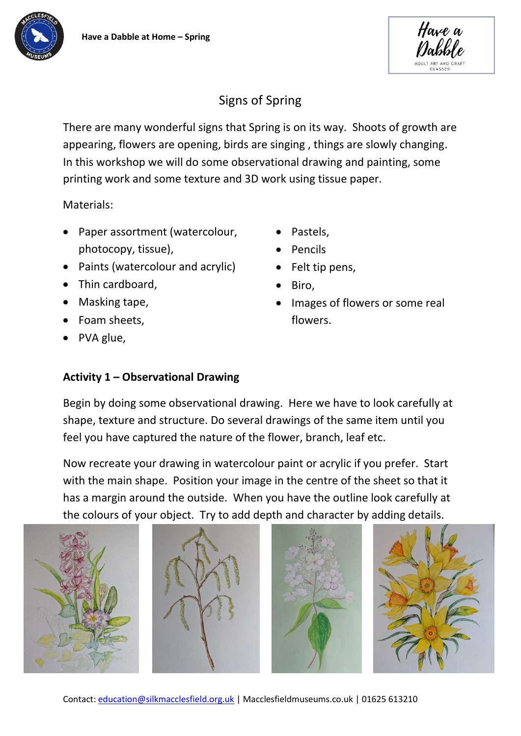



# Signs of Spring

There are many wonderful signs that Spring is on its way. Shoots of growth are appearing, flowers are opening, birds are singing , things are slowly changing. In this workshop we will do some observational drawing and painting, some printing work and some texture and 3D work using tissue paper.

Materials:

- Paper assortment (watercolour, photocopy, tissue),
- Paints (watercolour and acrylic)
- Thin cardboard,
- Masking tape,
- Foam sheets,
- PVA glue,
- Pastels,
- Pencils
- Felt tip pens,
- Biro,
- Images of flowers or some real flowers.

## **Activity 1 – Observational Drawing**

Begin by doing some observational drawing. Here we have to look carefully at shape, texture and structure. Do several drawings of the same item until you feel you have captured the nature of the flower, branch, leaf etc.

Now recreate your drawing in watercolour paint or acrylic if you prefer. Start with the main shape. Position your image in the centre of the sheet so that it has a margin around the outside. When you have the outline look carefully at the colours of your object. Try to add depth and character by adding details.







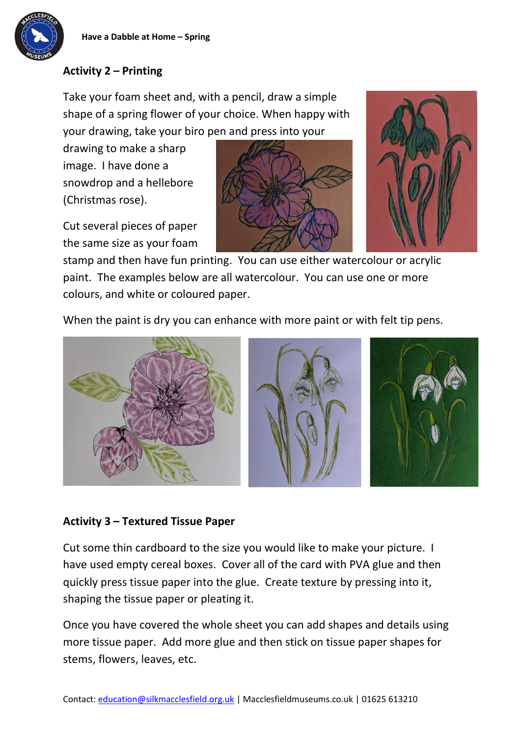

## **Activity 2 – Printing**

Take your foam sheet and, with a pencil, draw a simple shape of a spring flower of your choice. When happy with your drawing, take your biro pen and press into your

drawing to make a sharp image. I have done a snowdrop and a hellebore (Christmas rose).

Cut several pieces of paper the same size as your foam





stamp and then have fun printing. You can use either watercolour or acrylic paint. The examples below are all watercolour. You can use one or more colours, and white or coloured paper.

When the paint is dry you can enhance with more paint or with felt tip pens.



### **Activity 3 – Textured Tissue Paper**

Cut some thin cardboard to the size you would like to make your picture. I have used empty cereal boxes. Cover all of the card with PVA glue and then quickly press tissue paper into the glue. Create texture by pressing into it, shaping the tissue paper or pleating it.

Once you have covered the whole sheet you can add shapes and details using more tissue paper. Add more glue and then stick on tissue paper shapes for stems, flowers, leaves, etc.